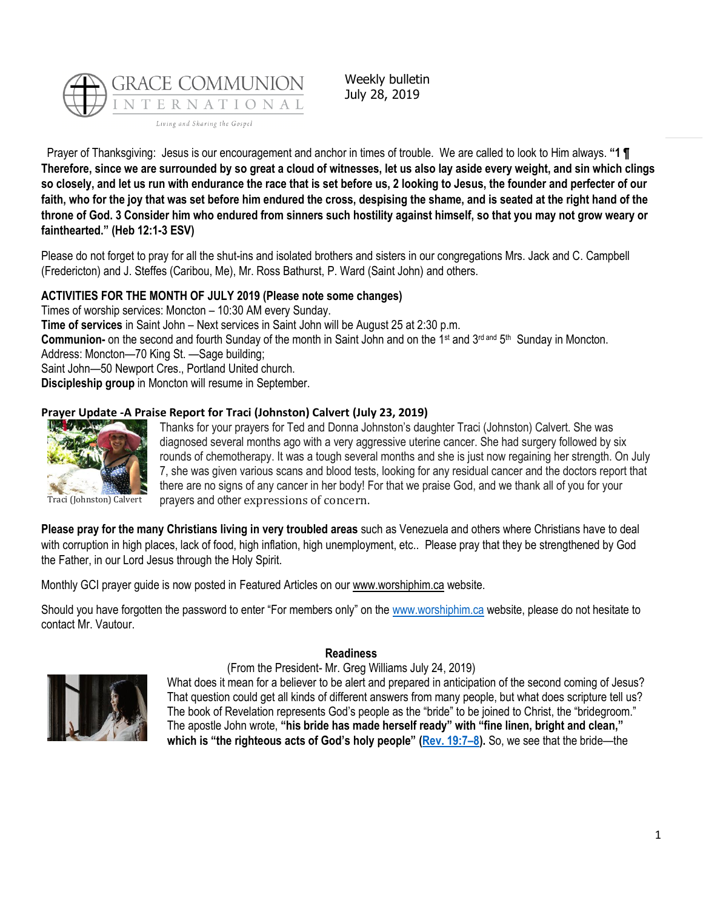

Weekly bulletin July 28, 2019

Prayer of Thanksgiving: Jesus is our encouragement and anchor in times of trouble. We are called to look to Him always. **"1 ¶ Therefore, since we are surrounded by so great a cloud of witnesses, let us also lay aside every weight, and sin which clings so closely, and let us run with endurance the race that is set before us, 2 looking to Jesus, the founder and perfecter of our faith, who for the joy that was set before him endured the cross, despising the shame, and is seated at the right hand of the throne of God. 3 Consider him who endured from sinners such hostility against himself, so that you may not grow weary or fainthearted." (Heb 12:1-3 ESV)**

Please do not forget to pray for all the shut-ins and isolated brothers and sisters in our congregations Mrs. Jack and C. Campbell (Fredericton) and J. Steffes (Caribou, Me), Mr. Ross Bathurst, P. Ward (Saint John) and others.

# **ACTIVITIES FOR THE MONTH OF JULY 2019 (Please note some changes)**

Times of worship services: Moncton – 10:30 AM every Sunday. **Time of services** in Saint John – Next services in Saint John will be August 25 at 2:30 p.m. Communion- on the second and fourth Sunday of the month in Saint John and on the 1<sup>st</sup> and 3<sup>rd and</sup> 5<sup>th</sup> Sunday in Moncton. Address: Moncton—70 King St. —Sage building; Saint John—50 Newport Cres., Portland United church. **Discipleship group** in Moncton will resume in September.

# **Prayer Update -A Praise Report for Traci (Johnston) Calvert (July 23, 2019)**



Thanks for your prayers for Ted and Donna Johnston's daughter Traci (Johnston) Calvert. She was diagnosed several months ago with a very aggressive uterine cancer. She had surgery followed by six rounds of chemotherapy. It was a tough several months and she is just now regaining her strength. On July 7, she was given various scans and blood tests, looking for any residual cancer and the doctors report that there are no signs of any cancer in her body! For that we praise God, and we thank all of you for your prayers and other expressions of concern.

Traci (Johnston) Calvert

**Please pray for the many Christians living in very troubled areas** such as Venezuela and others where Christians have to deal with corruption in high places, lack of food, high inflation, high unemployment, etc.. Please pray that they be strengthened by God the Father, in our Lord Jesus through the Holy Spirit.

Monthly GCI prayer guide is now posted in Featured Articles on our [www.worshiphim.ca](http://www.worshiphim.ca/) website.

Should you have forgotten the password to enter "For members only" on the [www.worshiphim.ca](http://www.worshiphim.ca/) website, please do not hesitate to contact Mr. Vautour.

#### **Readiness**





What does it mean for a believer to be alert and prepared in anticipation of the second coming of Jesus? That question could get all kinds of different answers from many people, but what does scripture tell us? The book of Revelation represents God's people as the "bride" to be joined to Christ, the "bridegroom." The apostle John wrote, **"his bride has made herself ready" with "fine linen, bright and clean," which is "the righteous acts of God's holy people" [\(Rev. 19:7](https://biblia.com/bible/niv/Rev.%2019.7%E2%80%938)–8).** So, we see that the bride—the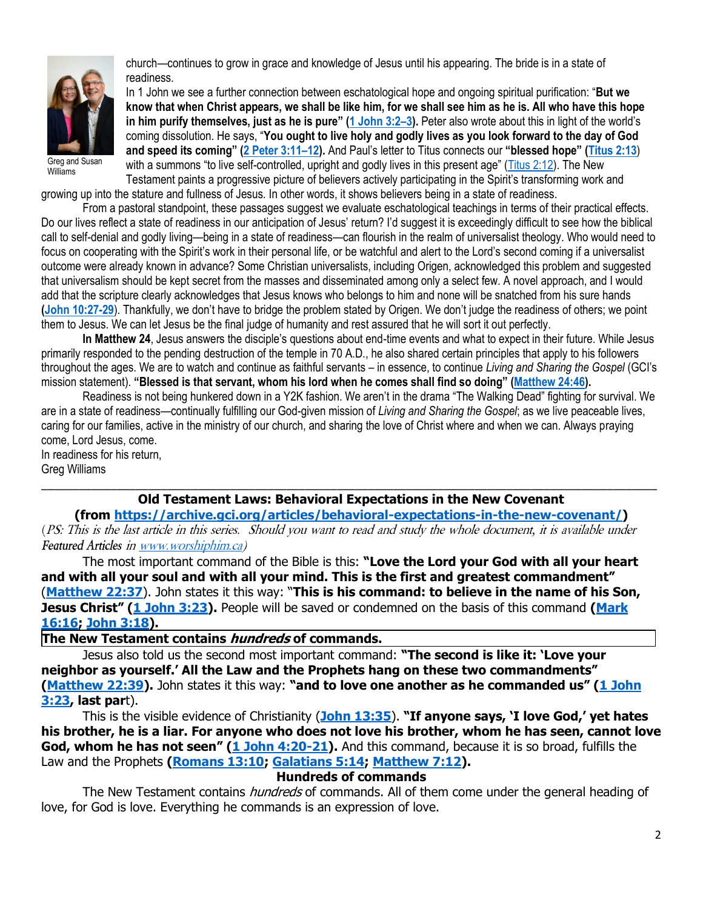

church—continues to grow in grace and knowledge of Jesus until his appearing. The bride is in a state of readiness.

In 1 John we see a further connection between eschatological hope and ongoing spiritual purification: "**But we know that when Christ appears, we shall be like him, for we shall see him as he is. All who have this hope in him purify themselves, just as he is pure" ([1 John 3:2](https://biblia.com/bible/niv/1%20John%203.2%E2%80%933)–3).** Peter also wrote about this in light of the world's coming dissolution. He says, "**You ought to live holy and godly lives as you look forward to the day of God and speed its coming" ([2 Peter 3:11](https://biblia.com/bible/niv/2%20Pet%203.11%E2%80%9312)–12).** And Paul's letter to Titus connects our **"blessed hope" ([Titus 2:13](https://biblia.com/bible/niv/Titus%202.13)**) with a summons "to live self-controlled, upright and godly lives in this present age" ([Titus 2:12\)](https://biblia.com/bible/niv/Titus%202.12). The New Testament paints a progressive picture of believers actively participating in the Spirit's transforming work and

growing up into the stature and fullness of Jesus. In other words, it shows believers being in a state of readiness.

From a pastoral standpoint, these passages suggest we evaluate eschatological teachings in terms of their practical effects. Do our lives reflect a state of readiness in our anticipation of Jesus' return? I'd suggest it is exceedingly difficult to see how the biblical call to self-denial and godly living—being in a state of readiness—can flourish in the realm of universalist theology. Who would need to focus on cooperating with the Spirit's work in their personal life, or be watchful and alert to the Lord's second coming if a universalist outcome were already known in advance? Some Christian universalists, including Origen, acknowledged this problem and suggested that universalism should be kept secret from the masses and disseminated among only a select few. A novel approach, and I would add that the scripture clearly acknowledges that Jesus knows who belongs to him and none will be snatched from his sure hands **[\(John 10:27-29](https://biblia.com/bible/niv/John%2010.27-29)**). Thankfully, we don't have to bridge the problem stated by Origen. We don't judge the readiness of others; we point them to Jesus. We can let Jesus be the final judge of humanity and rest assured that he will sort it out perfectly.

**In Matthew 24**, Jesus answers the disciple's questions about end-time events and what to expect in their future. While Jesus primarily responded to the pending destruction of the temple in 70 A.D., he also shared certain principles that apply to his followers throughout the ages. We are to watch and continue as faithful servants – in essence, to continue *Living and Sharing the Gospel* (GCI's mission statement). **"Blessed is that servant, whom his lord when he comes shall find so doing" ([Matthew 24:46\)](https://biblia.com/bible/niv/Matt%2024.46).**

Readiness is not being hunkered down in a Y2K fashion. We aren't in the drama "The Walking Dead" fighting for survival. We are in a state of readiness—continually fulfilling our God-given mission of *Living and Sharing the Gospel*; as we live peaceable lives, caring for our families, active in the ministry of our church, and sharing the love of Christ where and when we can. Always praying come, Lord Jesus, come.

In readiness for his return, Greg Williams

### \_\_\_\_\_\_\_\_\_\_\_\_\_\_\_\_\_\_\_\_\_\_\_\_\_\_\_\_\_\_\_\_\_\_\_\_\_\_\_\_\_\_\_\_\_\_\_\_\_\_\_\_\_\_\_\_\_\_\_\_\_\_\_\_\_\_\_\_\_\_\_\_\_\_\_\_\_\_\_\_\_\_\_\_\_\_\_\_\_\_\_\_\_\_\_\_\_\_ **Old Testament Laws: Behavioral Expectations in the New Covenant**

**(from [https://archive.gci.org/articles/behavioral-expectations-in-the-new-covenant/\)](https://archive.gci.org/articles/behavioral-expectations-in-the-new-covenant/)** (PS: This is the last article in this series. Should you want to read and study the whole document, it is available under *Featured Articles* i[n www.worshiphim.ca\)](http://www.worshiphim.ca/)

The most important command of the Bible is this: **"Love the Lord your God with all your heart and with all your soul and with all your mind. This is the first and greatest commandment"** (**[Matthew 22:37](https://biblia.com/bible/niv/Matt%2022.37)**). John states it this way: "**This is his command: to believe in the name of his Son, Jesus Christ" ([1 John 3:23\)](https://biblia.com/bible/niv/1%20John%203.23).** People will be saved or condemned on the basis of this command **[\(Mark](https://biblia.com/bible/niv/Mark%2016.16)  [16:16;](https://biblia.com/bible/niv/Mark%2016.16) [John 3:18\)](https://biblia.com/bible/niv/John%203.18).**

**The New Testament contains hundreds of commands.**

Jesus also told us the second most important command: **"The second is like it: 'Love your neighbor as yourself.' All the Law and the Prophets hang on these two commandments" [\(Matthew 22:39\)](https://biblia.com/bible/niv/Matt%2022.39).** John states it this way: **"and to love one another as he commanded us" ([1 John](https://biblia.com/bible/niv/1%20John%203.23)  [3:23,](https://biblia.com/bible/niv/1%20John%203.23) last par**t).

This is the visible evidence of Christianity (**[John 13:35](https://biblia.com/bible/niv/John%2013.35)**). **"If anyone says, 'I love God,' yet hates his brother, he is a liar. For anyone who does not love his brother, whom he has seen, cannot love God, whom he has not seen" ([1 John 4:20-21\)](https://biblia.com/bible/niv/1%20John%204.20-21).** And this command, because it is so broad, fulfills the Law and the Prophets **[\(Romans 13:10;](https://biblia.com/bible/niv/Rom%2013.10) [Galatians 5:14;](https://biblia.com/bible/niv/Gal%205.14) [Matthew 7:12\)](https://biblia.com/bible/niv/Matt%207.12).**

# **Hundreds of commands**

The New Testament contains *hundreds* of commands. All of them come under the general heading of love, for God is love. Everything he commands is an expression of love.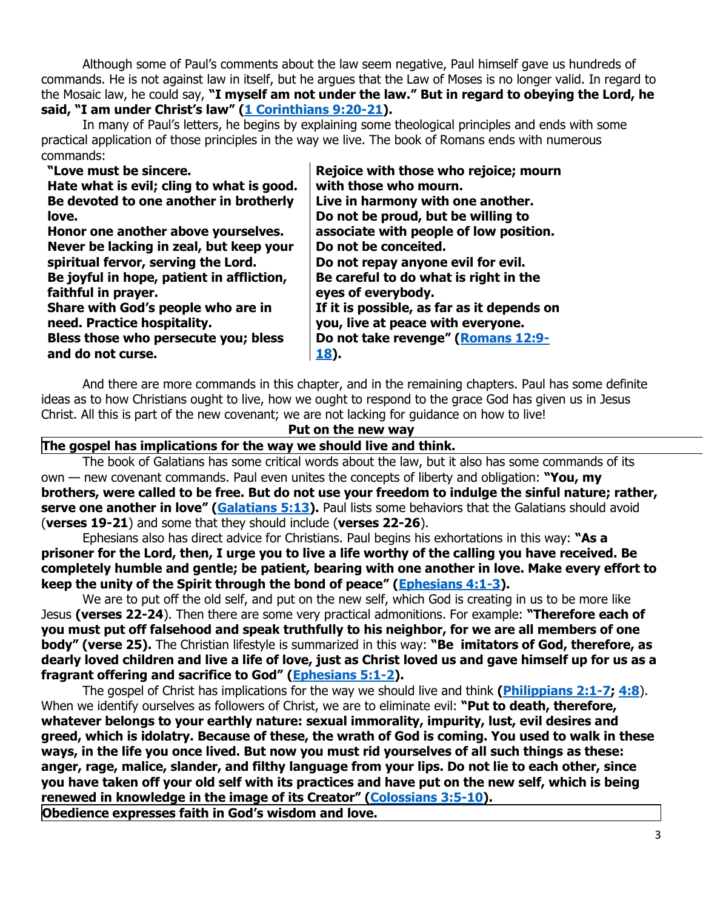Although some of Paul's comments about the law seem negative, Paul himself gave us hundreds of commands. He is not against law in itself, but he argues that the Law of Moses is no longer valid. In regard to the Mosaic law, he could say, **"I myself am not under the law." But in regard to obeying the Lord, he said, "I am under Christ's law" ([1 Corinthians 9:20-21\)](https://biblia.com/bible/niv/1%20Cor%209.20-21).**

In many of Paul's letters, he begins by explaining some theological principles and ends with some practical application of those principles in the way we live. The book of Romans ends with numerous commands:

| "Love must be sincere.                    | Rejoice with those who rejoice; mourn      |
|-------------------------------------------|--------------------------------------------|
| Hate what is evil; cling to what is good. | with those who mourn.                      |
| Be devoted to one another in brotherly    | Live in harmony with one another.          |
| love.                                     | Do not be proud, but be willing to         |
| Honor one another above yourselves.       | associate with people of low position.     |
| Never be lacking in zeal, but keep your   | Do not be conceited.                       |
| spiritual fervor, serving the Lord.       | Do not repay anyone evil for evil.         |
| Be joyful in hope, patient in affliction, | Be careful to do what is right in the      |
| faithful in prayer.                       | eyes of everybody.                         |
| Share with God's people who are in        | If it is possible, as far as it depends on |
| need. Practice hospitality.               | you, live at peace with everyone.          |
| Bless those who persecute you; bless      | Do not take revenge" (Romans 12:9-         |
| and do not curse.                         | <b>18</b> ).                               |

And there are more commands in this chapter, and in the remaining chapters. Paul has some definite ideas as to how Christians ought to live, how we ought to respond to the grace God has given us in Jesus Christ. All this is part of the new covenant; we are not lacking for guidance on how to live!

### **Put on the new way**

#### **The gospel has implications for the way we should live and think.**

The book of Galatians has some critical words about the law, but it also has some commands of its own — new covenant commands. Paul even unites the concepts of liberty and obligation: **"You, my brothers, were called to be free. But do not use your freedom to indulge the sinful nature; rather, serve one another in love" ([Galatians 5:13\)](https://biblia.com/bible/niv/Gal%205.13).** Paul lists some behaviors that the Galatians should avoid (**verses 19-21**) and some that they should include (**verses 22-26**).

Ephesians also has direct advice for Christians. Paul begins his exhortations in this way: **"As a prisoner for the Lord, then, I urge you to live a life worthy of the calling you have received. Be completely humble and gentle; be patient, bearing with one another in love. Make every effort to keep the unity of the Spirit through the bond of peace" ([Ephesians 4:1-3\)](https://biblia.com/bible/niv/Eph%204.1-3).**

We are to put off the old self, and put on the new self, which God is creating in us to be more like Jesus **(verses 22-24**). Then there are some very practical admonitions. For example: **"Therefore each of you must put off falsehood and speak truthfully to his neighbor, for we are all members of one body" (verse 25).** The Christian lifestyle is summarized in this way: **"Be imitators of God, therefore, as dearly loved children and live a life of love, just as Christ loved us and gave himself up for us as a fragrant offering and sacrifice to God" [\(Ephesians 5:1-2\)](https://biblia.com/bible/niv/Eph%205.1-2).**

The gospel of Christ has implications for the way we should live and think **[\(Philippians 2:1-7;](https://biblia.com/bible/niv/Phil%202.1-7) [4:8](https://biblia.com/bible/niv/Philippians%204.8)**). When we identify ourselves as followers of Christ, we are to eliminate evil: **"Put to death, therefore, whatever belongs to your earthly nature: sexual immorality, impurity, lust, evil desires and greed, which is idolatry. Because of these, the wrath of God is coming. You used to walk in these ways, in the life you once lived. But now you must rid yourselves of all such things as these: anger, rage, malice, slander, and filthy language from your lips. Do not lie to each other, since you have taken off your old self with its practices and have put on the new self, which is being renewed in knowledge in the image of its Creator" ([Colossians 3:5-10\)](https://biblia.com/bible/niv/Col%203.5-10).**

**Obedience expresses faith in God's wisdom and love.**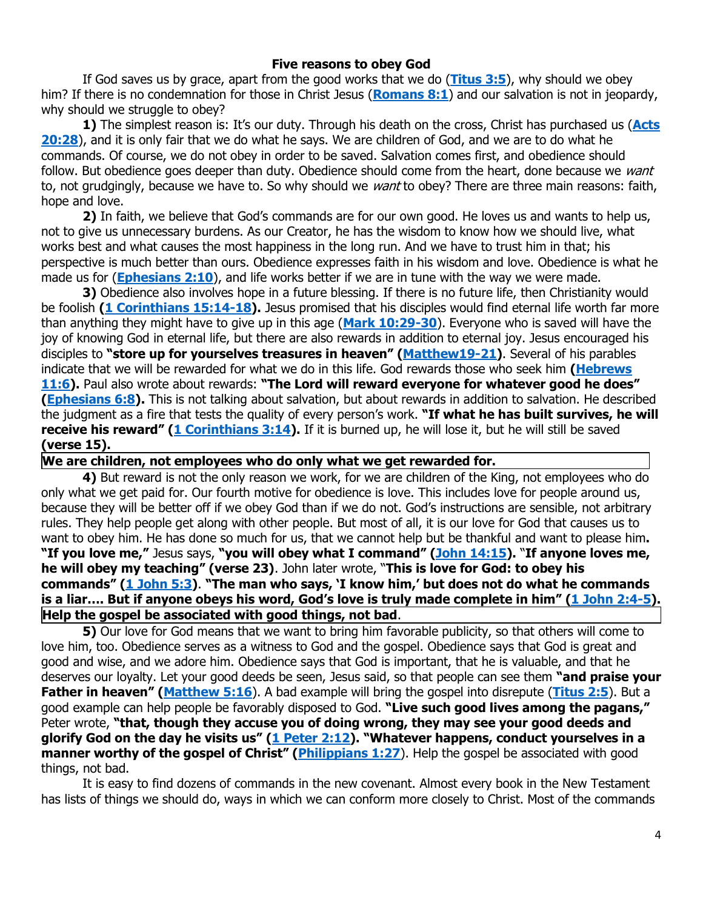#### **Five reasons to obey God**

If God saves us by grace, apart from the good works that we do (**[Titus 3:5](https://biblia.com/bible/niv/Titus%203.5)**), why should we obey him? If there is no condemnation for those in Christ Jesus (**[Romans 8:1](https://biblia.com/bible/niv/Rom%208.1)**) and our salvation is not in jeopardy, why should we struggle to obey?

**1)** The simplest reason is: It's our duty. Through his death on the cross, Christ has purchased us (**[Acts](https://biblia.com/bible/niv/Acts%2020.28)  [20:28](https://biblia.com/bible/niv/Acts%2020.28)**), and it is only fair that we do what he says. We are children of God, and we are to do what he commands. Of course, we do not obey in order to be saved. Salvation comes first, and obedience should follow. But obedience goes deeper than duty. Obedience should come from the heart, done because we want to, not grudgingly, because we have to. So why should we want to obey? There are three main reasons: faith, hope and love.

**2)** In faith, we believe that God's commands are for our own good. He loves us and wants to help us, not to give us unnecessary burdens. As our Creator, he has the wisdom to know how we should live, what works best and what causes the most happiness in the long run. And we have to trust him in that; his perspective is much better than ours. Obedience expresses faith in his wisdom and love. Obedience is what he made us for (**[Ephesians 2:10](https://biblia.com/bible/niv/Eph%202.10)**), and life works better if we are in tune with the way we were made.

**3)** Obedience also involves hope in a future blessing. If there is no future life, then Christianity would be foolish **[\(1 Corinthians 15:14-18\)](https://biblia.com/bible/niv/1%20Cor%2015.14-18).** Jesus promised that his disciples would find eternal life worth far more than anything they might have to give up in this age (**[Mark 10:29-30](https://biblia.com/bible/niv/Mark%2010.29-30)**). Everyone who is saved will have the joy of knowing God in eternal life, but there are also rewards in addition to eternal joy. Jesus encouraged his disciples to **"store up for yourselves treasures in heaven" ([Matthew19-21\)](https://biblia.com/bible/niv/Matt19-21)**. Several of his parables indicate that we will be rewarded for what we do in this life. God rewards those who seek him **[\(Hebrews](https://biblia.com/bible/niv/Heb%2011.6)  [11:6\)](https://biblia.com/bible/niv/Heb%2011.6).** Paul also wrote about rewards: **"The Lord will reward everyone for whatever good he does" [\(Ephesians 6:8\)](https://biblia.com/bible/niv/Eph%206.8).** This is not talking about salvation, but about rewards in addition to salvation. He described the judgment as a fire that tests the quality of every person's work. **"If what he has built survives, he will receive his reward" ([1 Corinthians 3:14\)](https://biblia.com/bible/niv/1%20Cor%203.14).** If it is burned up, he will lose it, but he will still be saved **(verse 15).**

**We are children, not employees who do only what we get rewarded for.**

**4)** But reward is not the only reason we work, for we are children of the King, not employees who do only what we get paid for. Our fourth motive for obedience is love. This includes love for people around us, because they will be better off if we obey God than if we do not. God's instructions are sensible, not arbitrary rules. They help people get along with other people. But most of all, it is our love for God that causes us to want to obey him. He has done so much for us, that we cannot help but be thankful and want to please him**. "If you love me,"** Jesus says, **"you will obey what I command" ([John 14:15\)](https://biblia.com/bible/niv/John%2014.15).** "**If anyone loves me, he will obey my teaching" (verse 23)**. John later wrote, "**This is love for God: to obey his commands" ([1 John 5:3\)](https://biblia.com/bible/niv/1%20John%205.3)**. **"The man who says, 'I know him,' but does not do what he commands is a liar…. But if anyone obeys his word, God's love is truly made complete in him" ([1 John 2:4-5\)](https://biblia.com/bible/niv/1%20John%202.4-5). Help the gospel be associated with good things, not bad**.

**5)** Our love for God means that we want to bring him favorable publicity, so that others will come to love him, too. Obedience serves as a witness to God and the gospel. Obedience says that God is great and good and wise, and we adore him. Obedience says that God is important, that he is valuable, and that he deserves our loyalty. Let your good deeds be seen, Jesus said, so that people can see them **"and praise your Father in heaven" ([Matthew 5:16](https://biblia.com/bible/niv/Matt%205.16)**). A bad example will bring the gospel into disrepute (**[Titus 2:5](https://biblia.com/bible/niv/Titus%202.5)**). But a good example can help people be favorably disposed to God. **"Live such good lives among the pagans,"** Peter wrote, **"that, though they accuse you of doing wrong, they may see your good deeds and glorify God on the day he visits us" ([1 Peter 2:12\)](https://biblia.com/bible/niv/1%20Pet%202.12). "Whatever happens, conduct yourselves in a manner worthy of the gospel of Christ" ([Philippians 1:27](https://biblia.com/bible/niv/Phil%201.27)).** Help the gospel be associated with good things, not bad.

It is easy to find dozens of commands in the new covenant. Almost every book in the New Testament has lists of things we should do, ways in which we can conform more closely to Christ. Most of the commands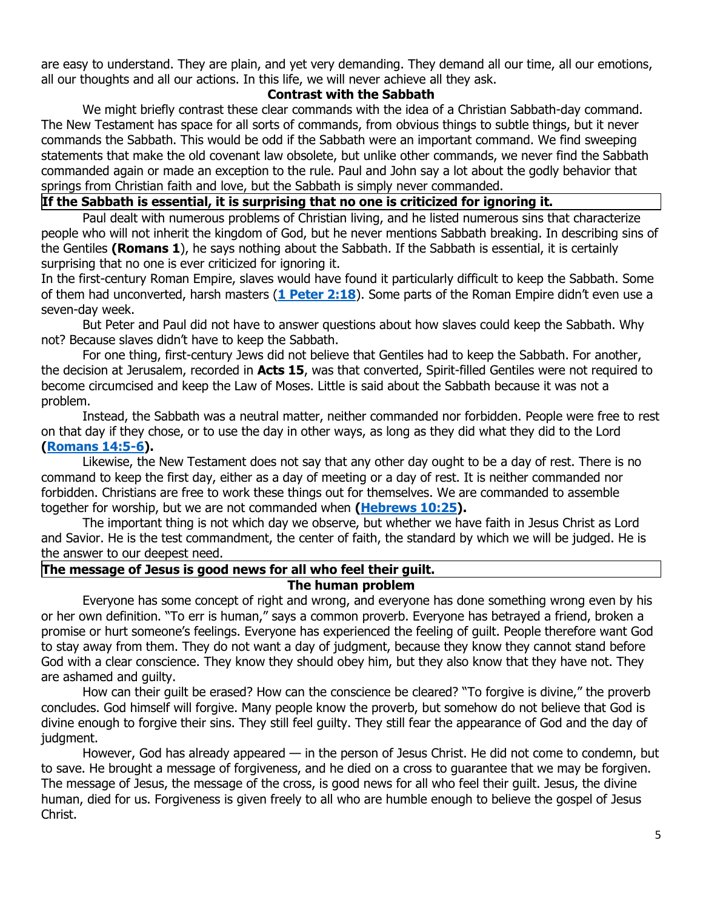are easy to understand. They are plain, and yet very demanding. They demand all our time, all our emotions, all our thoughts and all our actions. In this life, we will never achieve all they ask.

## **Contrast with the Sabbath**

We might briefly contrast these clear commands with the idea of a Christian Sabbath-day command. The New Testament has space for all sorts of commands, from obvious things to subtle things, but it never commands the Sabbath. This would be odd if the Sabbath were an important command. We find sweeping statements that make the old covenant law obsolete, but unlike other commands, we never find the Sabbath commanded again or made an exception to the rule. Paul and John say a lot about the godly behavior that springs from Christian faith and love, but the Sabbath is simply never commanded.

#### **If the Sabbath is essential, it is surprising that no one is criticized for ignoring it.**

Paul dealt with numerous problems of Christian living, and he listed numerous sins that characterize people who will not inherit the kingdom of God, but he never mentions Sabbath breaking. In describing sins of the Gentiles **(Romans 1**), he says nothing about the Sabbath. If the Sabbath is essential, it is certainly surprising that no one is ever criticized for ignoring it.

In the first-century Roman Empire, slaves would have found it particularly difficult to keep the Sabbath. Some of them had unconverted, harsh masters (**[1 Peter 2:18](https://biblia.com/bible/niv/1%20Pet%202.18)**). Some parts of the Roman Empire didn't even use a seven-day week.

But Peter and Paul did not have to answer questions about how slaves could keep the Sabbath. Why not? Because slaves didn't have to keep the Sabbath.

For one thing, first-century Jews did not believe that Gentiles had to keep the Sabbath. For another, the decision at Jerusalem, recorded in **Acts 15**, was that converted, Spirit-filled Gentiles were not required to become circumcised and keep the Law of Moses. Little is said about the Sabbath because it was not a problem.

Instead, the Sabbath was a neutral matter, neither commanded nor forbidden. People were free to rest on that day if they chose, or to use the day in other ways, as long as they did what they did to the Lord **[\(Romans 14:5-6\)](https://biblia.com/bible/niv/Rom%2014.5-6).**

Likewise, the New Testament does not say that any other day ought to be a day of rest. There is no command to keep the first day, either as a day of meeting or a day of rest. It is neither commanded nor forbidden. Christians are free to work these things out for themselves. We are commanded to assemble together for worship, but we are not commanded when **[\(Hebrews 10:25\)](https://biblia.com/bible/niv/Heb%2010.25).**

The important thing is not which day we observe, but whether we have faith in Jesus Christ as Lord and Savior. He is the test commandment, the center of faith, the standard by which we will be judged. He is the answer to our deepest need.

#### **The message of Jesus is good news for all who feel their guilt.**

#### **The human problem**

Everyone has some concept of right and wrong, and everyone has done something wrong even by his or her own definition. "To err is human," says a common proverb. Everyone has betrayed a friend, broken a promise or hurt someone's feelings. Everyone has experienced the feeling of guilt. People therefore want God to stay away from them. They do not want a day of judgment, because they know they cannot stand before God with a clear conscience. They know they should obey him, but they also know that they have not. They are ashamed and guilty.

How can their guilt be erased? How can the conscience be cleared? "To forgive is divine," the proverb concludes. God himself will forgive. Many people know the proverb, but somehow do not believe that God is divine enough to forgive their sins. They still feel guilty. They still fear the appearance of God and the day of judgment.

However, God has already appeared — in the person of Jesus Christ. He did not come to condemn, but to save. He brought a message of forgiveness, and he died on a cross to guarantee that we may be forgiven. The message of Jesus, the message of the cross, is good news for all who feel their guilt. Jesus, the divine human, died for us. Forgiveness is given freely to all who are humble enough to believe the gospel of Jesus Christ.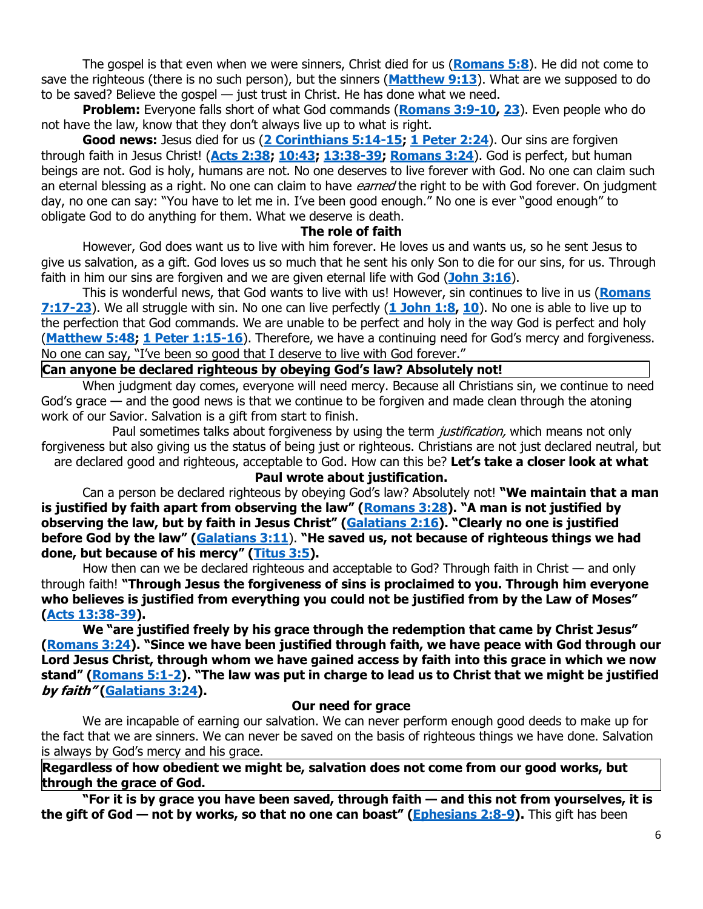The gospel is that even when we were sinners, Christ died for us (**[Romans 5:8](https://biblia.com/bible/niv/Rom%205.8)**). He did not come to save the righteous (there is no such person), but the sinners (**[Matthew 9:13](https://biblia.com/bible/niv/Matt%209.13)**). What are we supposed to do to be saved? Believe the gospel — just trust in Christ. He has done what we need.

**Problem:** Everyone falls short of what God commands (**[Romans 3:9-10,](https://biblia.com/bible/niv/Rom%203.9-10) [23](https://biblia.com/bible/niv/Romans%203.23)**). Even people who do not have the law, know that they don't always live up to what is right.

**Good news:** Jesus died for us (**[2 Corinthians 5:14-15;](https://biblia.com/bible/niv/2%20Cor%205.14-15) [1 Peter 2:24](https://biblia.com/bible/niv/1%20Pet%202.24)**). Our sins are forgiven through faith in Jesus Christ! (**[Acts 2:38;](https://biblia.com/bible/niv/Acts%202.38) [10:43;](https://biblia.com/bible/niv/Acts%2010.43) [13:38-39;](https://biblia.com/bible/niv/Acts%2013.38-39) [Romans 3:24](https://biblia.com/bible/niv/Rom%203.24)**). God is perfect, but human beings are not. God is holy, humans are not. No one deserves to live forever with God. No one can claim such an eternal blessing as a right. No one can claim to have *earned* the right to be with God forever. On judgment day, no one can say: "You have to let me in. I've been good enough." No one is ever "good enough" to obligate God to do anything for them. What we deserve is death.

### **The role of faith**

However, God does want us to live with him forever. He loves us and wants us, so he sent Jesus to give us salvation, as a gift. God loves us so much that he sent his only Son to die for our sins, for us. Through faith in him our sins are forgiven and we are given eternal life with God (**[John 3:16](https://biblia.com/bible/niv/John%203.16)**).

This is wonderful news, that God wants to live with us! However, sin continues to live in us (**[Romans](https://biblia.com/bible/niv/Rom%207.17-23)  [7:17-23](https://biblia.com/bible/niv/Rom%207.17-23)**). We all struggle with sin. No one can live perfectly (**[1 John 1:8,](https://biblia.com/bible/niv/1%20John%201.8) [10](https://biblia.com/bible/niv/1%20John%201.10)**). No one is able to live up to the perfection that God commands. We are unable to be perfect and holy in the way God is perfect and holy (**[Matthew 5:48;](https://biblia.com/bible/niv/Matt%205.48) [1 Peter 1:15-16](https://biblia.com/bible/niv/1%20Pet%201.15-16)**). Therefore, we have a continuing need for God's mercy and forgiveness. No one can say, "I've been so good that I deserve to live with God forever."

### **Can anyone be declared righteous by obeying God's law? Absolutely not!**

When judgment day comes, everyone will need mercy. Because all Christians sin, we continue to need God's grace — and the good news is that we continue to be forgiven and made clean through the atoning work of our Savior. Salvation is a gift from start to finish.

Paul sometimes talks about forgiveness by using the term *justification*, which means not only forgiveness but also giving us the status of being just or righteous. Christians are not just declared neutral, but are declared good and righteous, acceptable to God. How can this be? **Let's take a closer look at what** 

### **Paul wrote about justification.**

Can a person be declared righteous by obeying God's law? Absolutely not! **"We maintain that a man is justified by faith apart from observing the law" ([Romans 3:28\)](https://biblia.com/bible/niv/Rom%203.28). "A man is not justified by observing the law, but by faith in Jesus Christ" ([Galatians 2:16](https://biblia.com/bible/niv/Gal%202.16)). "Clearly no one is justified before God by the law" ([Galatians 3:11](https://biblia.com/bible/niv/Gal%203.11)**). **"He saved us, not because of righteous things we had done, but because of his mercy" ([Titus 3:5\)](https://biblia.com/bible/niv/Titus%203.5).**

How then can we be declared righteous and acceptable to God? Through faith in Christ — and only through faith! **"Through Jesus the forgiveness of sins is proclaimed to you. Through him everyone who believes is justified from everything you could not be justified from by the Law of Moses" [\(Acts 13:38-39\)](https://biblia.com/bible/niv/Acts%2013.38-39).**

**We "are justified freely by his grace through the redemption that came by Christ Jesus" [\(Romans 3:24\)](https://biblia.com/bible/niv/Rom%203.24). "Since we have been justified through faith, we have peace with God through our Lord Jesus Christ, through whom we have gained access by faith into this grace in which we now stand" ([Romans 5:1-2\)](https://biblia.com/bible/niv/Rom%205.1-2). "The law was put in charge to lead us to Christ that we might be justified by faith" [\(Galatians 3:24\)](https://biblia.com/bible/niv/Gal%203.24).**

### **Our need for grace**

We are incapable of earning our salvation. We can never perform enough good deeds to make up for the fact that we are sinners. We can never be saved on the basis of righteous things we have done. Salvation is always by God's mercy and his grace.

**Regardless of how obedient we might be, salvation does not come from our good works, but through the grace of God.**

**"For it is by grace you have been saved, through faith — and this not from yourselves, it is the gift of God — not by works, so that no one can boast" ([Ephesians 2:8-9\)](https://biblia.com/bible/niv/Eph%202.8-9).** This gift has been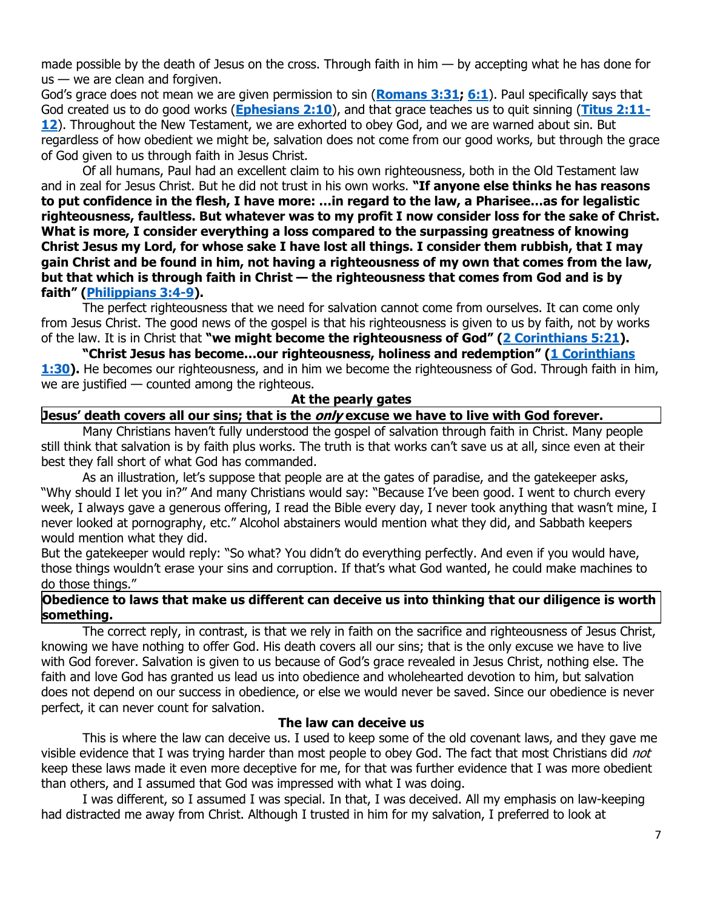made possible by the death of Jesus on the cross. Through faith in him  $-$  by accepting what he has done for  $us - we$  are clean and forgiven.

God's grace does not mean we are given permission to sin (**[Romans 3:31;](https://biblia.com/bible/niv/Rom%203.31) [6:1](https://biblia.com/bible/niv/Romans%206.1)**). Paul specifically says that God created us to do good works (**[Ephesians 2:10](https://biblia.com/bible/niv/Eph%202.10)**), and that grace teaches us to quit sinning (**[Titus 2:11-](https://biblia.com/bible/niv/Titus%202.11-12) [12](https://biblia.com/bible/niv/Titus%202.11-12)**). Throughout the New Testament, we are exhorted to obey God, and we are warned about sin. But regardless of how obedient we might be, salvation does not come from our good works, but through the grace of God given to us through faith in Jesus Christ.

Of all humans, Paul had an excellent claim to his own righteousness, both in the Old Testament law and in zeal for Jesus Christ. But he did not trust in his own works. **"If anyone else thinks he has reasons to put confidence in the flesh, I have more: …in regard to the law, a Pharisee…as for legalistic righteousness, faultless. But whatever was to my profit I now consider loss for the sake of Christ. What is more, I consider everything a loss compared to the surpassing greatness of knowing Christ Jesus my Lord, for whose sake I have lost all things. I consider them rubbish, that I may gain Christ and be found in him, not having a righteousness of my own that comes from the law, but that which is through faith in Christ — the righteousness that comes from God and is by faith" ([Philippians 3:4-9\)](https://biblia.com/bible/niv/Phil%203.4-9).**

The perfect righteousness that we need for salvation cannot come from ourselves. It can come only from Jesus Christ. The good news of the gospel is that his righteousness is given to us by faith, not by works of the law. It is in Christ that **"we might become the righteousness of God" ([2 Corinthians 5:21\)](https://biblia.com/bible/niv/2%20Cor%205.21).**

**"Christ Jesus has become…our righteousness, holiness and redemption" ([1 Corinthians](https://biblia.com/bible/niv/1%20Cor%201.30)  [1:30\)](https://biblia.com/bible/niv/1%20Cor%201.30).** He becomes our righteousness, and in him we become the righteousness of God. Through faith in him, we are justified — counted among the righteous.

#### **At the pearly gates**

### **Jesus' death covers all our sins; that is the only excuse we have to live with God forever.**

Many Christians haven't fully understood the gospel of salvation through faith in Christ. Many people still think that salvation is by faith plus works. The truth is that works can't save us at all, since even at their best they fall short of what God has commanded.

As an illustration, let's suppose that people are at the gates of paradise, and the gatekeeper asks, "Why should I let you in?" And many Christians would say: "Because I've been good. I went to church every week, I always gave a generous offering, I read the Bible every day, I never took anything that wasn't mine, I never looked at pornography, etc." Alcohol abstainers would mention what they did, and Sabbath keepers would mention what they did.

But the gatekeeper would reply: "So what? You didn't do everything perfectly. And even if you would have, those things wouldn't erase your sins and corruption. If that's what God wanted, he could make machines to do those things."

# **Obedience to laws that make us different can deceive us into thinking that our diligence is worth something.**

The correct reply, in contrast, is that we rely in faith on the sacrifice and righteousness of Jesus Christ, knowing we have nothing to offer God. His death covers all our sins; that is the only excuse we have to live with God forever. Salvation is given to us because of God's grace revealed in Jesus Christ, nothing else. The faith and love God has granted us lead us into obedience and wholehearted devotion to him, but salvation does not depend on our success in obedience, or else we would never be saved. Since our obedience is never perfect, it can never count for salvation.

### **The law can deceive us**

This is where the law can deceive us. I used to keep some of the old covenant laws, and they gave me visible evidence that I was trying harder than most people to obey God. The fact that most Christians did not keep these laws made it even more deceptive for me, for that was further evidence that I was more obedient than others, and I assumed that God was impressed with what I was doing.

I was different, so I assumed I was special. In that, I was deceived. All my emphasis on law-keeping had distracted me away from Christ. Although I trusted in him for my salvation, I preferred to look at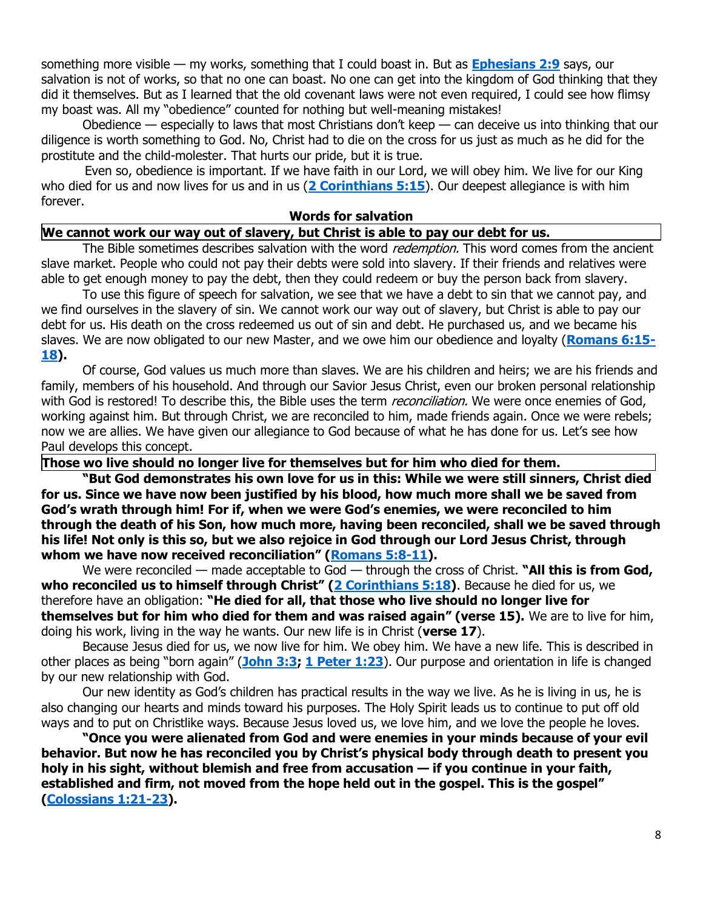something more visible — my works, something that I could boast in. But as **[Ephesians 2:9](https://biblia.com/bible/niv/Eph%202.9)** says, our salvation is not of works, so that no one can boast. No one can get into the kingdom of God thinking that they did it themselves. But as I learned that the old covenant laws were not even required, I could see how flimsy my boast was. All my "obedience" counted for nothing but well-meaning mistakes!

Obedience — especially to laws that most Christians don't keep — can deceive us into thinking that our diligence is worth something to God. No, Christ had to die on the cross for us just as much as he did for the prostitute and the child-molester. That hurts our pride, but it is true.

 Even so, obedience is important. If we have faith in our Lord, we will obey him. We live for our King who died for us and now lives for us and in us (**[2 Corinthians 5:15](https://biblia.com/bible/niv/2%20Cor%205.15)**). Our deepest allegiance is with him forever.

#### **Words for salvation**

## **We cannot work our way out of slavery, but Christ is able to pay our debt for us.**

The Bible sometimes describes salvation with the word *redemption*. This word comes from the ancient slave market. People who could not pay their debts were sold into slavery. If their friends and relatives were able to get enough money to pay the debt, then they could redeem or buy the person back from slavery.

To use this figure of speech for salvation, we see that we have a debt to sin that we cannot pay, and we find ourselves in the slavery of sin. We cannot work our way out of slavery, but Christ is able to pay our debt for us. His death on the cross redeemed us out of sin and debt. He purchased us, and we became his slaves. We are now obligated to our new Master, and we owe him our obedience and loyalty (**[Romans 6:15-](https://biblia.com/bible/niv/Rom%206.15-18) [18\)](https://biblia.com/bible/niv/Rom%206.15-18).**

Of course, God values us much more than slaves. We are his children and heirs; we are his friends and family, members of his household. And through our Savior Jesus Christ, even our broken personal relationship with God is restored! To describe this, the Bible uses the term *reconciliation*. We were once enemies of God, working against him. But through Christ, we are reconciled to him, made friends again. Once we were rebels; now we are allies. We have given our allegiance to God because of what he has done for us. Let's see how Paul develops this concept.

### **Those wo live should no longer live for themselves but for him who died for them.**

**"But God demonstrates his own love for us in this: While we were still sinners, Christ died for us. Since we have now been justified by his blood, how much more shall we be saved from God's wrath through him! For if, when we were God's enemies, we were reconciled to him through the death of his Son, how much more, having been reconciled, shall we be saved through his life! Not only is this so, but we also rejoice in God through our Lord Jesus Christ, through whom we have now received reconciliation" ([Romans 5:8-11\)](https://biblia.com/bible/niv/Rom%205.8-11).**

We were reconciled — made acceptable to God — through the cross of Christ. "All this is from God, **who reconciled us to himself through Christ" ([2 Corinthians 5:18\)](https://biblia.com/bible/niv/2%20Cor%205.18)**. Because he died for us, we therefore have an obligation: **"He died for all, that those who live should no longer live for themselves but for him who died for them and was raised again" (verse 15).** We are to live for him, doing his work, living in the way he wants. Our new life is in Christ (**verse 17**).

Because Jesus died for us, we now live for him. We obey him. We have a new life. This is described in other places as being "born again" (**[John 3:3;](https://biblia.com/bible/niv/John%203.3) [1 Peter 1:23](https://biblia.com/bible/niv/1%20Pet%201.23)**). Our purpose and orientation in life is changed by our new relationship with God.

Our new identity as God's children has practical results in the way we live. As he is living in us, he is also changing our hearts and minds toward his purposes. The Holy Spirit leads us to continue to put off old ways and to put on Christlike ways. Because Jesus loved us, we love him, and we love the people he loves.

**"Once you were alienated from God and were enemies in your minds because of your evil behavior. But now he has reconciled you by Christ's physical body through death to present you holy in his sight, without blemish and free from accusation — if you continue in your faith, established and firm, not moved from the hope held out in the gospel. This is the gospel" [\(Colossians 1:21-23\)](https://biblia.com/bible/niv/Col%201.21-23).**